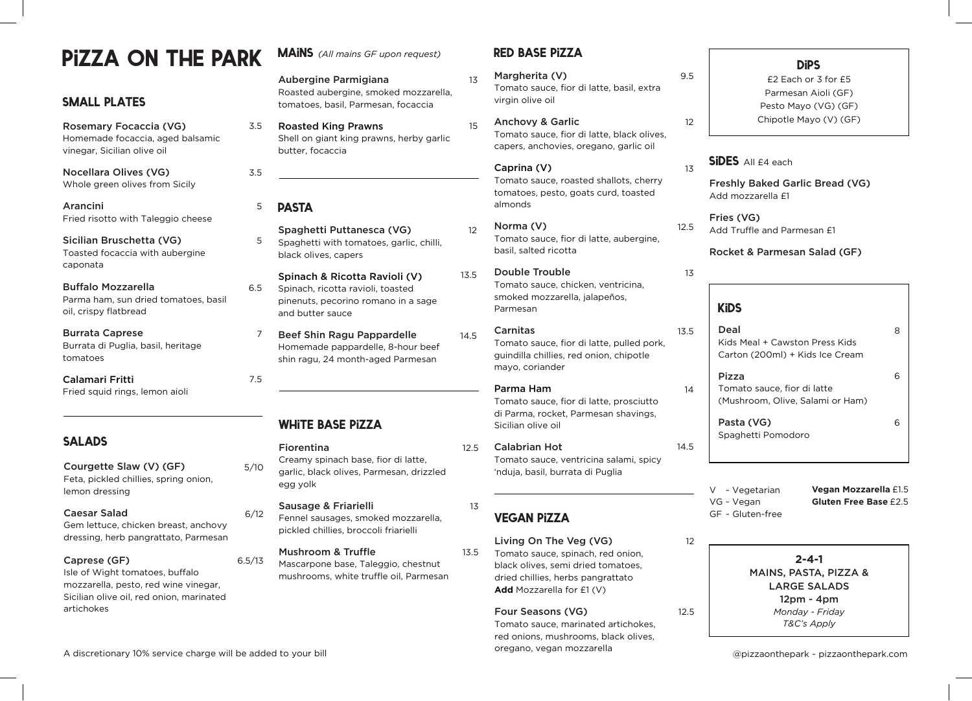# pizza on the park

# small plates

Rosemary Focaccia (VG) Homemade focaccia, aged balsamic vinegar, Sicilian olive oil

Nocellara Olives (VG) Whole green olives from Sicily

Arancini Fried risotto with Taleggio cheese

Sicilian Bruschetta (VG) Toasted focaccia with aubergine caponata

Buffalo Mozzarella Parma ham, sun dried tomatoes, basil oil, crispy flatbread

Burrata Caprese Burrata di Puglia, basil, heritage tomatoes

Calamari Fritti Fried squid rings, lemon aioli

**SALADS** 

#### Courgette Slaw (V) (GF) Feta, pickled chillies, spring onion, lemon dressing

#### Caesar Salad

Gem lettuce, chicken breast, anchovy dressing, herb pangrattato, Parmesan

#### Caprese (GF)

Isle of Wight tomatoes, buffalo mozzarella, pesto, red wine vinegar, Sicilian olive oil, red onion, marinated artichokes

**MAINS** (All mains GF upon request)

Aubergine Parmigiana Roasted aubergine, smoked mozzarella, tomatoes, basil, Parmesan, focaccia

Roasted King Prawns Shell on giant king prawns, herby garlic butter, focaccia

#### **PASTA** 5

3.5

3.5

Spaghetti Puttanesca (VG) Spaghetti with tomatoes, garlic, chilli, black olives, capers 5

Spinach & Ricotta Ravioli (V) Spinach, ricotta ravioli, toasted pinenuts, pecorino romano in a sage and butter sauce 6.5

Beef Shin Ragu Pappardelle Homemade pappardelle, 8-hour beef shin ragu, 24 month-aged Parmesan 7

# white base pizza

5/10 Creamy spinach base, fior di latte, garlic, black olives, Parmesan, drizzled egg yolk

> Sausage & Friarielli Fennel sausages, smoked mozzarella, pickled chillies, broccoli friarielli

6.5/13 Mushroom & Truffle Mascarpone base, Taleggio, chestnut mushrooms, white truffle oil, Parmesan

6/12

7.5

# red base pizza

13

15

12

13.5

14.5

12.5

13

13.5

Margherita (V) Tomato sauce, fior di latte, basil, extra virgin olive oil

Anchovy & Garlic Tomato sauce, fior di latte, black olives, capers, anchovies, oregano, garlic oil

Caprina (V) Tomato sauce, roasted shallots, cherry tomatoes, pesto, goats curd, toasted almonds

- Norma (V) Tomato sauce, fior di latte, aubergine, basil, salted ricotta
- Double Trouble Tomato sauce, chicken, ventricina, smoked mozzarella, jalapeños, Parmesan
	- Carnitas Tomato sauce, fior di latte, pulled pork, guindilla chillies, red onion, chipotle mayo, coriander

#### Parma Ham

Tomato sauce, fior di latte, prosciutto di Parma, rocket, Parmesan shavings, Sicilian olive oil

Calabrian Hot Tomato sauce, ventricina salami, spicy 'nduja, basil, burrata di Puglia

# vegan pizza

Living On The Veg (VG) Tomato sauce, spinach, red onion, black olives, semi dried tomatoes, dried chillies, herbs pangrattato **Add** Mozzarella for £1 (V)

#### Four Seasons (VG)

Tomato sauce, marinated artichokes, red onions, mushrooms, black olives, oregano, vegan mozzarella

9.5

12

 $1\overline{z}$ 

13

13.5

14

14.5

£2 Each or 3 for £5 Parmesan Aioli (GF) Pesto Mayo (VG) (GF) Chipotle Mayo (V) (GF)

**DiPS** 

## SIDES All £4 each

Freshly Baked Garlic Bread (VG) Add mozzarella £1

12.5 Fries (VG) Add Truffle and Parmesan £1

Rocket & Parmesan Salad (GF)

# **KiDS**

12

12.5

| Deal<br>Kids Meal + Cawston Press Kids<br>Carton (200ml) + Kids Ice Cream |   |
|---------------------------------------------------------------------------|---|
| Pizza<br>Tomato sauce, fior di latte<br>(Mushroom, Olive, Salami or Ham)  | ี |
| Pasta (VG)<br>Spaghetti Pomodoro                                          | ี |

**Vegan Mozzarella** £1.5 **Gluten Free Base** £2.5 V ~ Vegetarian VG ~ Vegan GF ~ Gluten-free

> **2-4-1** MAINS, PASTA, PIZZA & LARGE SALADS 12pm - 4pm *Monday - Friday T&C's Apply*

@pizzaonthepark ~ pizzaonthepark.com

A discretionary 10% service charge will be added to your bill

Fiorentina